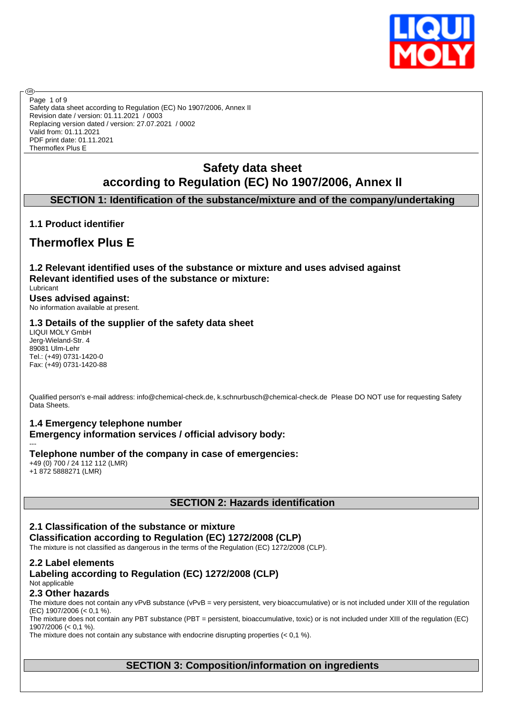

Safety data sheet according to Regulation (EC) No 1907/2006, Annex II Revision date / version: 01.11.2021 / 0003 Replacing version dated / version: 27.07.2021 / 0002 Valid from: 01.11.2021 PDF print date: 01.11.2021 Thermoflex Plus E Page 1 of 9

## **Safety data sheet according to Regulation (EC) No 1907/2006, Annex II**

## **SECTION 1: Identification of the substance/mixture and of the company/undertaking**

## **1.1 Product identifier**

**®** 

## **Thermoflex Plus E**

**1.2 Relevant identified uses of the substance or mixture and uses advised against Relevant identified uses of the substance or mixture:** Lubricant **Uses advised against:**

No information available at present.

## **1.3 Details of the supplier of the safety data sheet**

LIQUI MOLY GmbH Jerg-Wieland-Str. 4 89081 Ulm-Lehr Tel.: (+49) 0731-1420-0 Fax: (+49) 0731-1420-88

Qualified person's e-mail address: info@chemical-check.de, k.schnurbusch@chemical-check.de Please DO NOT use for requesting Safety Data Sheets.

## **1.4 Emergency telephone number**

**Emergency information services / official advisory body:**

--- **Telephone number of the company in case of emergencies:** +49 (0) 700 / 24 112 112 (LMR)

+1 872 5888271 (LMR)

## **SECTION 2: Hazards identification**

## **2.1 Classification of the substance or mixture Classification according to Regulation (EC) 1272/2008 (CLP)**

The mixture is not classified as dangerous in the terms of the Regulation (EC) 1272/2008 (CLP).

### **2.2 Label elements**

## **Labeling according to Regulation (EC) 1272/2008 (CLP)** Not applicable

## **2.3 Other hazards**

The mixture does not contain any vPvB substance (vPvB = very persistent, very bioaccumulative) or is not included under XIII of the regulation (EC) 1907/2006 (< 0,1 %). The mixture does not contain any PBT substance (PBT = persistent, bioaccumulative, toxic) or is not included under XIII of the regulation (EC)

1907/2006 (< 0,1 %). The mixture does not contain any substance with endocrine disrupting properties (< 0,1 %).

**SECTION 3: Composition/information on ingredients**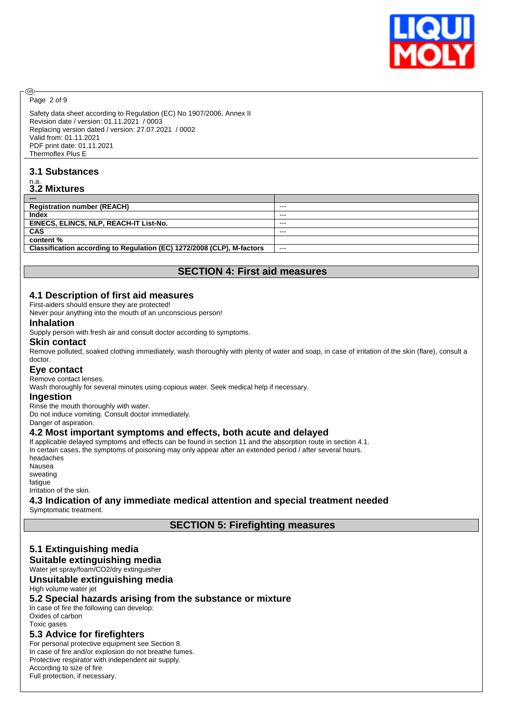

Page 2 of 9

@

Safety data sheet according to Regulation (EC) No 1907/2006, Annex II Revision date / version: 01.11.2021 / 0003 Replacing version dated / version: 27.07.2021 / 0002 Valid from: 01.11.2021 PDF print date: 01.11.2021 Thermoflex Plus E

## **3.1 Substances**

# n.a. **3.2 Mixtures**

| ---                                                                    |         |
|------------------------------------------------------------------------|---------|
| <b>Registration number (REACH)</b>                                     | $- - -$ |
| Index                                                                  | $- - -$ |
| EINECS, ELINCS, NLP, REACH-IT List-No.                                 | $- - -$ |
| <b>CAS</b>                                                             | $- - -$ |
| content %                                                              |         |
| Classification according to Regulation (EC) 1272/2008 (CLP), M-factors | $- - -$ |
|                                                                        |         |

## **SECTION 4: First aid measures**

## **4.1 Description of first aid measures**

First-aiders should ensure they are protected!

Never pour anything into the mouth of an unconscious person!

#### **Inhalation**

Supply person with fresh air and consult doctor according to symptoms.

#### **Skin contact**

Remove polluted, soaked clothing immediately, wash thoroughly with plenty of water and soap, in case of irritation of the skin (flare), consult a doctor.

## **Eye contact**

Remove contact lenses.

Wash thoroughly for several minutes using copious water. Seek medical help if necessary.

### **Ingestion**

Rinse the mouth thoroughly with water.

Do not induce vomiting. Consult doctor immediately.

Danger of aspiration.

## **4.2 Most important symptoms and effects, both acute and delayed**

If applicable delayed symptoms and effects can be found in section 11 and the absorption route in section 4.1. In certain cases, the symptoms of poisoning may only appear after an extended period / after several hours. headaches

Nausea sweating fatigue Irritation of the skin.

## **4.3 Indication of any immediate medical attention and special treatment needed**

Symptomatic treatment.

## **SECTION 5: Firefighting measures**

## **5.1 Extinguishing media Suitable extinguishing media**

Water jet spray/foam/CO2/dry extinguisher

## **Unsuitable extinguishing media**

High volume water jet

## **5.2 Special hazards arising from the substance or mixture**

In case of fire the following can develop: Oxides of carbon Toxic gases

## **5.3 Advice for firefighters**

For personal protective equipment see Section 8. In case of fire and/or explosion do not breathe fumes. Protective respirator with independent air supply. According to size of fire Full protection, if necessary.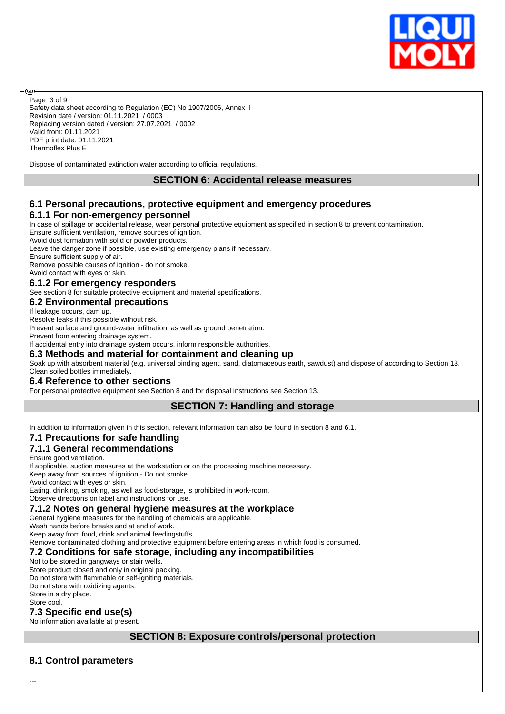

Safety data sheet according to Regulation (EC) No 1907/2006, Annex II Revision date / version: 01.11.2021 / 0003 Replacing version dated / version: 27.07.2021 / 0002 Valid from: 01.11.2021 PDF print date: 01.11.2021 Thermoflex Plus E Page 3 of 9

Dispose of contaminated extinction water according to official regulations.

## **SECTION 6: Accidental release measures**

## **6.1 Personal precautions, protective equipment and emergency procedures 6.1.1 For non-emergency personnel**

In case of spillage or accidental release, wear personal protective equipment as specified in section 8 to prevent contamination. Ensure sufficient ventilation, remove sources of ignition.

Avoid dust formation with solid or powder products.

Leave the danger zone if possible, use existing emergency plans if necessary.

Ensure sufficient supply of air.

അ

Remove possible causes of ignition - do not smoke.

Avoid contact with eyes or skin.

### **6.1.2 For emergency responders**

See section 8 for suitable protective equipment and material specifications.

## **6.2 Environmental precautions**

If leakage occurs, dam up.

Resolve leaks if this possible without risk.

Prevent surface and ground-water infiltration, as well as ground penetration. Prevent from entering drainage system.

If accidental entry into drainage system occurs, inform responsible authorities.

**6.3 Methods and material for containment and cleaning up**

Soak up with absorbent material (e.g. universal binding agent, sand, diatomaceous earth, sawdust) and dispose of according to Section 13. Clean soiled bottles immediately.

## **6.4 Reference to other sections**

For personal protective equipment see Section 8 and for disposal instructions see Section 13.

## **SECTION 7: Handling and storage**

In addition to information given in this section, relevant information can also be found in section 8 and 6.1.

## **7.1 Precautions for safe handling**

### **7.1.1 General recommendations**

Ensure good ventilation.

If applicable, suction measures at the workstation or on the processing machine necessary.

Keep away from sources of ignition - Do not smoke.

Avoid contact with eyes or skin.

Eating, drinking, smoking, as well as food-storage, is prohibited in work-room.

Observe directions on label and instructions for use.

## **7.1.2 Notes on general hygiene measures at the workplace**

General hygiene measures for the handling of chemicals are applicable.

Wash hands before breaks and at end of work.

Keep away from food, drink and animal feedingstuffs.

Remove contaminated clothing and protective equipment before entering areas in which food is consumed.

## **7.2 Conditions for safe storage, including any incompatibilities**

Not to be stored in gangways or stair wells.

Store product closed and only in original packing.

Do not store with flammable or self-igniting materials.

Do not store with oxidizing agents. Store in a dry place.

Store cool.

### **7.3 Specific end use(s)**

No information available at present.

## **SECTION 8: Exposure controls/personal protection**

## **8.1 Control parameters**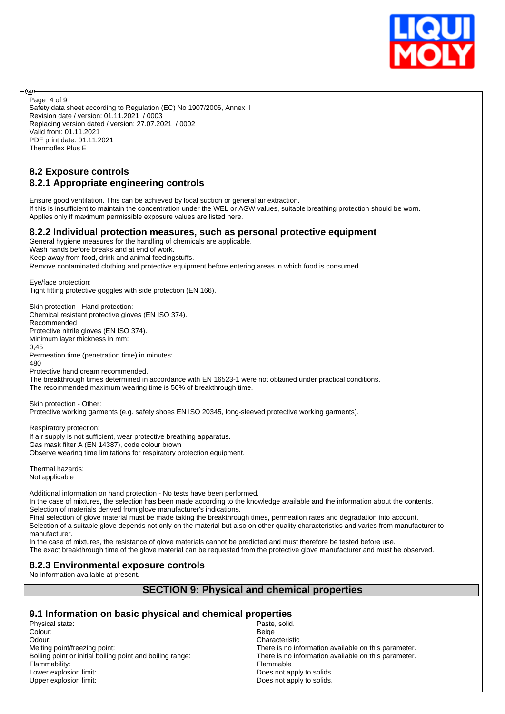

Safety data sheet according to Regulation (EC) No 1907/2006, Annex II Revision date / version: 01.11.2021 / 0003 Replacing version dated / version: 27.07.2021 / 0002 Valid from: 01.11.2021 PDF print date: 01.11.2021 Thermoflex Plus E Page 4 of 9

## **8.2 Exposure controls 8.2.1 Appropriate engineering controls**

രി

Ensure good ventilation. This can be achieved by local suction or general air extraction. If this is insufficient to maintain the concentration under the WEL or AGW values, suitable breathing protection should be worn. Applies only if maximum permissible exposure values are listed here.

## **8.2.2 Individual protection measures, such as personal protective equipment**

General hygiene measures for the handling of chemicals are applicable.

Wash hands before breaks and at end of work.

Keep away from food, drink and animal feedingstuffs.

Remove contaminated clothing and protective equipment before entering areas in which food is consumed.

Eye/face protection: Tight fitting protective goggles with side protection (EN 166).

Skin protection - Hand protection: Chemical resistant protective gloves (EN ISO 374). Recommended Protective nitrile gloves (EN ISO 374). Minimum layer thickness in mm: 0,45 Permeation time (penetration time) in minutes: 480 Protective hand cream recommended. The breakthrough times determined in accordance with EN 16523-1 were not obtained under practical conditions. The recommended maximum wearing time is 50% of breakthrough time.

Skin protection - Other: Protective working garments (e.g. safety shoes EN ISO 20345, long-sleeved protective working garments).

Respiratory protection: If air supply is not sufficient, wear protective breathing apparatus. Gas mask filter A (EN 14387), code colour brown Observe wearing time limitations for respiratory protection equipment.

Thermal hazards: Not applicable

Additional information on hand protection - No tests have been performed. In the case of mixtures, the selection has been made according to the knowledge available and the information about the contents. Selection of materials derived from glove manufacturer's indications.

Final selection of glove material must be made taking the breakthrough times, permeation rates and degradation into account. Selection of a suitable glove depends not only on the material but also on other quality characteristics and varies from manufacturer to manufacturer.

In the case of mixtures, the resistance of glove materials cannot be predicted and must therefore be tested before use. The exact breakthrough time of the glove material can be requested from the protective glove manufacturer and must be observed.

## **8.2.3 Environmental exposure controls**

No information available at present.

## **SECTION 9: Physical and chemical properties**

## **9.1 Information on basic physical and chemical properties**

Physical state: Physical state: Paste, solid. Colour: Beige Odour:<br>
Melting point/freezing point:<br>
Melting point/freezing point:<br>
Characteristic Characteristic Flammability:<br>
Lower explosion limit:<br>
Lower explosion limit:<br>  $\frac{1}{2}$  The Community:<br>
Does not all Lower explosion limit:<br>
Upper explosion limit:<br>
Upper explosion limit:<br>
Opper explosion limit:

There is no information available on this parameter. Boiling point or initial boiling point and boiling range: There is no information available on this parameter. Does not apply to solids.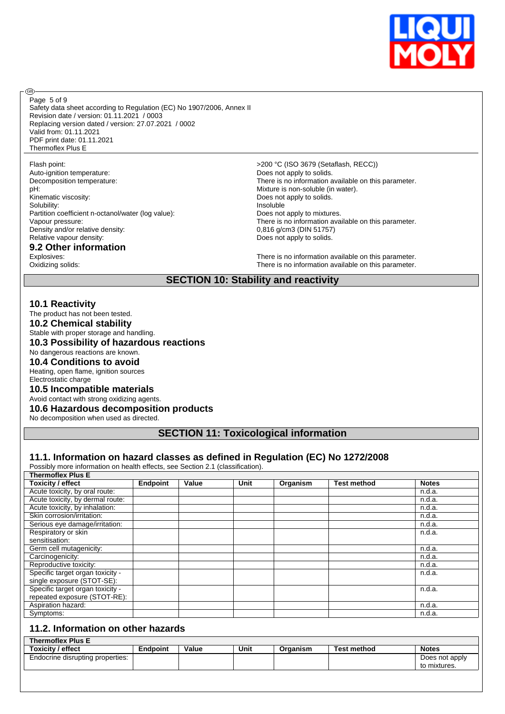

Page 5 of 9

**®** 

Safety data sheet according to Regulation (EC) No 1907/2006, Annex II Revision date / version: 01.11.2021 / 0003 Replacing version dated / version: 27.07.2021 / 0002 Valid from: 01.11.2021 PDF print date: 01.11.2021 Thermoflex Plus E

Auto-ignition temperature:  $\begin{array}{ccc} \hline \text{Does not apply to solids.} \end{array}$ pH: Mixture is non-soluble (in water). Kinematic viscosity:  $\Box$  Does not apply to solids. Solubility: Solubility: and the soluble state of the soluble state of the soluble state  $\sim$  1 and 1 and 1 and 1 and 1 and 1 and 1 and 1 and 1 and 1 and 1 and 1 and 1 and 1 and 1 and 1 and 1 and 1 and 1 and 1 and 1 and 1 a Partition coefficient n-octanol/water (log value): Does not apply to mixtures.<br>Vapour pressure: There is no information ava Density and/or relative density: Relative vapour density:  $\qquad \qquad$  Does not apply to solids.

# **9.2 Other information**

Flash point:  $>200 °C$  (ISO 3679 (Setaflash, RECC)) There is no information available on this parameter. There is no information available on this parameter.<br> $0,816$  g/cm3 (DIN 51757)

Explosives:<br>
Communication available on this parameter.<br>
Communication available on this parameter.<br>
Communication available on this parameter. There is no information available on this parameter.

## **SECTION 10: Stability and reactivity**

#### **10.1 Reactivity**

The product has not been tested.

**10.2 Chemical stability**

Stable with proper storage and handling.

## **10.3 Possibility of hazardous reactions**

No dangerous reactions are known.

## **10.4 Conditions to avoid**

Heating, open flame, ignition sources Electrostatic charge

#### **10.5 Incompatible materials**

Avoid contact with strong oxidizing agents.

#### **10.6 Hazardous decomposition products**

No decomposition when used as directed.

**SECTION 11: Toxicological information**

#### **11.1. Information on hazard classes as defined in Regulation (EC) No 1272/2008**

Possibly more information on health effects, see Section 2.1 (classification).

| <b>Thermoflex Plus E</b>         |                 |       |      |          |                    |              |
|----------------------------------|-----------------|-------|------|----------|--------------------|--------------|
| <b>Toxicity / effect</b>         | <b>Endpoint</b> | Value | Unit | Organism | <b>Test method</b> | <b>Notes</b> |
| Acute toxicity, by oral route:   |                 |       |      |          |                    | n.d.a.       |
| Acute toxicity, by dermal route: |                 |       |      |          |                    | n.d.a.       |
| Acute toxicity, by inhalation:   |                 |       |      |          |                    | n.d.a.       |
| Skin corrosion/irritation:       |                 |       |      |          |                    | n.d.a.       |
| Serious eye damage/irritation:   |                 |       |      |          |                    | n.d.a.       |
| Respiratory or skin              |                 |       |      |          |                    | n.d.a.       |
| sensitisation:                   |                 |       |      |          |                    |              |
| Germ cell mutagenicity:          |                 |       |      |          |                    | n.d.a.       |
| Carcinogenicity:                 |                 |       |      |          |                    | n.d.a.       |
| Reproductive toxicity:           |                 |       |      |          |                    | n.d.a.       |
| Specific target organ toxicity - |                 |       |      |          |                    | n.d.a.       |
| single exposure (STOT-SE):       |                 |       |      |          |                    |              |
| Specific target organ toxicity - |                 |       |      |          |                    | n.d.a.       |
| repeated exposure (STOT-RE):     |                 |       |      |          |                    |              |
| Aspiration hazard:               |                 |       |      |          |                    | n.d.a.       |
| Symptoms:                        |                 |       |      |          |                    | n.d.a.       |

## **11.2. Information on other hazards**

| <b>Thermoflex Plus E</b>         |          |       |      |          |             |                |
|----------------------------------|----------|-------|------|----------|-------------|----------------|
| <b>Toxicity / effect</b>         | Endpoint | Value | Unit | Organism | Test method | <b>Notes</b>   |
| Endocrine disrupting properties: |          |       |      |          |             | Does not apply |
|                                  |          |       |      |          |             | to mixtures.   |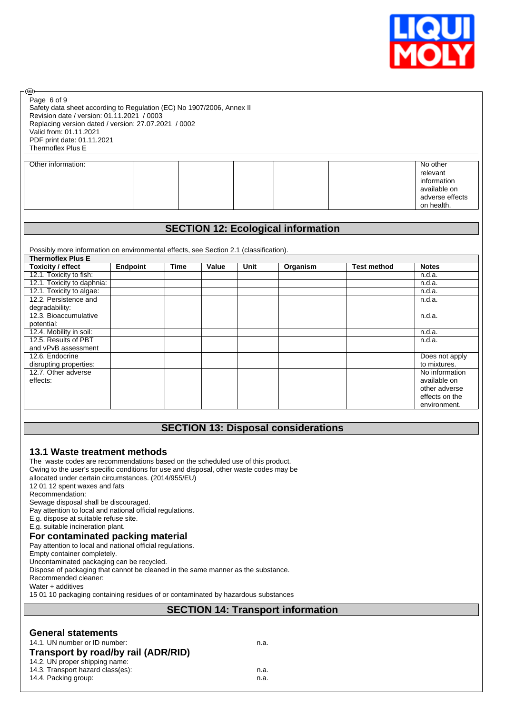

Safety data sheet according to Regulation (EC) No 1907/2006, Annex II Revision date / version: 01.11.2021 / 0003 Replacing version dated / version: 27.07.2021 / 0002 Valid from: 01.11.2021 PDF print date: 01.11.2021 Thermoflex Plus E Page 6 of 9

**®** 

| Other information: |  |  | No other        |
|--------------------|--|--|-----------------|
|                    |  |  | relevant        |
|                    |  |  | information     |
|                    |  |  | available on    |
|                    |  |  | adverse effects |
|                    |  |  | on health.      |

## **SECTION 12: Ecological information**

Possibly more information on environmental effects, see Section 2.1 (classification).

| <b>Thermoflex Plus E</b>   |                 |             |       |      |          |                    |                |
|----------------------------|-----------------|-------------|-------|------|----------|--------------------|----------------|
| <b>Toxicity / effect</b>   | <b>Endpoint</b> | <b>Time</b> | Value | Unit | Organism | <b>Test method</b> | <b>Notes</b>   |
| 12.1. Toxicity to fish:    |                 |             |       |      |          |                    | n.d.a.         |
| 12.1. Toxicity to daphnia: |                 |             |       |      |          |                    | n.d.a.         |
| 12.1. Toxicity to algae:   |                 |             |       |      |          |                    | n.d.a.         |
| 12.2. Persistence and      |                 |             |       |      |          |                    | n.d.a.         |
| degradability:             |                 |             |       |      |          |                    |                |
| 12.3. Bioaccumulative      |                 |             |       |      |          |                    | n.d.a.         |
| potential:                 |                 |             |       |      |          |                    |                |
| 12.4. Mobility in soil:    |                 |             |       |      |          |                    | n.d.a.         |
| 12.5. Results of PBT       |                 |             |       |      |          |                    | n.d.a.         |
| and vPvB assessment        |                 |             |       |      |          |                    |                |
| 12.6. Endocrine            |                 |             |       |      |          |                    | Does not apply |
| disrupting properties:     |                 |             |       |      |          |                    | to mixtures.   |
| 12.7. Other adverse        |                 |             |       |      |          |                    | No information |
| effects:                   |                 |             |       |      |          |                    | available on   |
|                            |                 |             |       |      |          |                    | other adverse  |
|                            |                 |             |       |      |          |                    | effects on the |
|                            |                 |             |       |      |          |                    | environment.   |

## **SECTION 13: Disposal considerations**

#### **13.1 Waste treatment methods** The waste codes are recommendations based on the scheduled use of this product.

Owing to the user's specific conditions for use and disposal, other waste codes may be allocated under certain circumstances. (2014/955/EU) 12 01 12 spent waxes and fats Recommendation: Sewage disposal shall be discouraged. Pay attention to local and national official regulations. E.g. dispose at suitable refuse site. E.g. suitable incineration plant. **For contaminated packing material** Pay attention to local and national official regulations. Empty container completely. Uncontaminated packaging can be recycled. Dispose of packaging that cannot be cleaned in the same manner as the substance. Recommended cleaner: Water + additives

15 01 10 packaging containing residues of or contaminated by hazardous substances

## **SECTION 14: Transport information**

## **General statements**

| 14.1. UN number or ID number:       | n.a. |
|-------------------------------------|------|
| Transport by road/by rail (ADR/RID) |      |

14.2. UN proper shipping name: 14.3. Transport hazard class(es): n.a.

14.4. Packing group: n.a.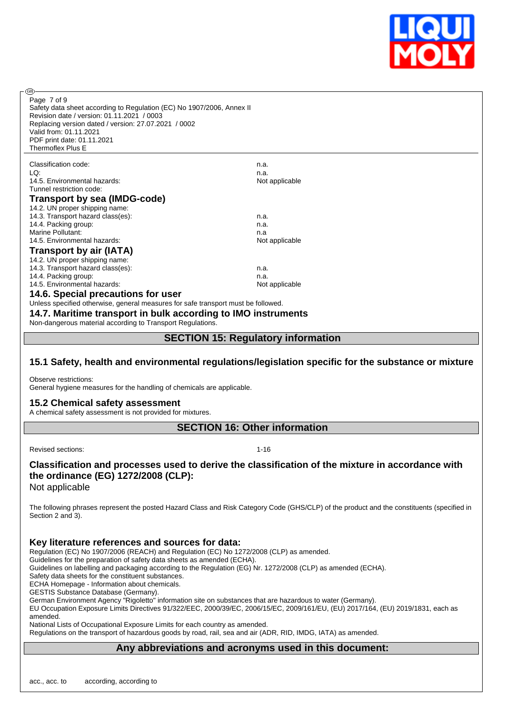

Page 7 of 9

൹

Safety data sheet according to Regulation (EC) No 1907/2006, Annex II Revision date / version: 01.11.2021 / 0003 Replacing version dated / version: 27.07.2021 / 0002 Valid from: 01.11.2021 PDF print date: 01.11.2021 Thermoflex Plus E

| Classification code:                | n.a.           |
|-------------------------------------|----------------|
| LQ:                                 | n.a.           |
| 14.5. Environmental hazards:        | Not applicable |
| Tunnel restriction code:            |                |
| <b>Transport by sea (IMDG-code)</b> |                |
| 14.2. UN proper shipping name:      |                |
| 14.3. Transport hazard class(es):   | n.a.           |
| 14.4. Packing group:                | n.a.           |
| Marine Pollutant:                   | n.a            |
| 14.5. Environmental hazards:        | Not applicable |
| <b>Transport by air (IATA)</b>      |                |
| 14.2. UN proper shipping name:      |                |
| 14.3. Transport hazard class(es):   | n.a.           |
| 14.4. Packing group:                | n.a.           |
| 14.5. Environmental hazards:        | Not applicable |
| 14 6 Snacial procautions for user   |                |

**14.6. Special precautions for user** Unless specified otherwise, general measures for safe transport must be followed.

**14.7. Maritime transport in bulk according to IMO instruments**

Non-dangerous material according to Transport Regulations.

## **SECTION 15: Regulatory information**

## **15.1 Safety, health and environmental regulations/legislation specific for the substance or mixture**

Observe restrictions:

General hygiene measures for the handling of chemicals are applicable.

### **15.2 Chemical safety assessment**

A chemical safety assessment is not provided for mixtures.

**SECTION 16: Other information**

Revised sections: 1-16

## **Classification and processes used to derive the classification of the mixture in accordance with the ordinance (EG) 1272/2008 (CLP):**

Not applicable

The following phrases represent the posted Hazard Class and Risk Category Code (GHS/CLP) of the product and the constituents (specified in Section 2 and 3).

## **Key literature references and sources for data:**

Regulation (EC) No 1907/2006 (REACH) and Regulation (EC) No 1272/2008 (CLP) as amended.

Guidelines for the preparation of safety data sheets as amended (ECHA).

Guidelines on labelling and packaging according to the Regulation (EG) Nr. 1272/2008 (CLP) as amended (ECHA).

Safety data sheets for the constituent substances.

ECHA Homepage - Information about chemicals.

GESTIS Substance Database (Germany).

German Environment Agency "Rigoletto" information site on substances that are hazardous to water (Germany).

EU Occupation Exposure Limits Directives 91/322/EEC, 2000/39/EC, 2006/15/EC, 2009/161/EU, (EU) 2017/164, (EU) 2019/1831, each as amended.

National Lists of Occupational Exposure Limits for each country as amended.

Regulations on the transport of hazardous goods by road, rail, sea and air (ADR, RID, IMDG, IATA) as amended.

## **Any abbreviations and acronyms used in this document:**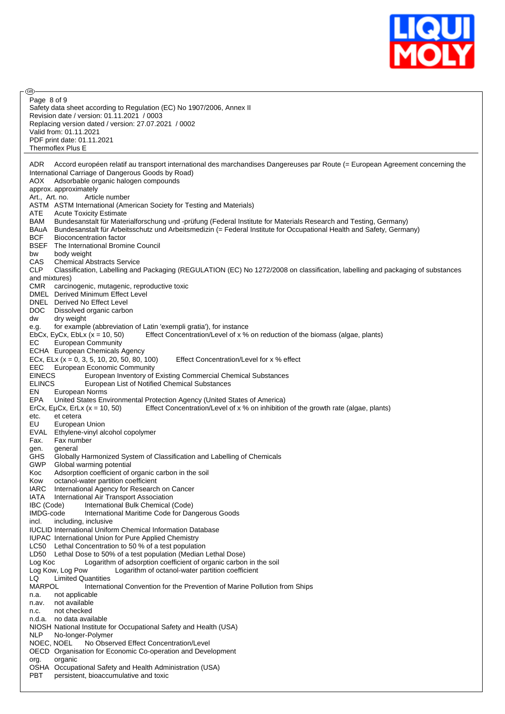

| Page 8 of 9                                                                                                                            |
|----------------------------------------------------------------------------------------------------------------------------------------|
| Safety data sheet according to Regulation (EC) No 1907/2006, Annex II                                                                  |
| Revision date / version: 01.11.2021 / 0003                                                                                             |
| Replacing version dated / version: 27.07.2021 / 0002                                                                                   |
| Valid from: 01.11.2021<br>PDF print date: 01.11.2021                                                                                   |
| Thermoflex Plus E                                                                                                                      |
|                                                                                                                                        |
| Accord européen relatif au transport international des marchandises Dangereuses par Route (= European Agreement concerning the<br>ADR. |
| International Carriage of Dangerous Goods by Road)                                                                                     |
| Adsorbable organic halogen compounds<br>AOX                                                                                            |
| approx. approximately                                                                                                                  |
| Art., Art. no.<br>Article number                                                                                                       |
| ASTM ASTM International (American Society for Testing and Materials)                                                                   |
| ATE<br><b>Acute Toxicity Estimate</b>                                                                                                  |
| BAM<br>Bundesanstalt für Materialforschung und -prüfung (Federal Institute for Materials Research and Testing, Germany)                |
| Bundesanstalt für Arbeitsschutz und Arbeitsmedizin (= Federal Institute for Occupational Health and Safety, Germany)<br>BAuA           |
| <b>BCF</b><br><b>Bioconcentration factor</b>                                                                                           |
| BSEF<br>The International Bromine Council                                                                                              |
| body weight<br>bw                                                                                                                      |
| CAS<br><b>Chemical Abstracts Service</b>                                                                                               |
| CLP<br>Classification, Labelling and Packaging (REGULATION (EC) No 1272/2008 on classification, labelling and packaging of substances  |
| and mixtures)                                                                                                                          |
| CMR.<br>carcinogenic, mutagenic, reproductive toxic                                                                                    |
| DMEL Derived Minimum Effect Level                                                                                                      |
| DNEL Derived No Effect Level                                                                                                           |
| DOC.<br>Dissolved organic carbon                                                                                                       |
| dw<br>dry weight                                                                                                                       |
| for example (abbreviation of Latin 'exempli gratia'), for instance<br>e.g.                                                             |
| Effect Concentration/Level of x % on reduction of the biomass (algae, plants)<br>EbCx, EyCx, EbLx $(x = 10, 50)$                       |
| EС<br>European Community                                                                                                               |
| ECHA European Chemicals Agency                                                                                                         |
| ECx, ELx ( $x = 0$ , 3, 5, 10, 20, 50, 80, 100)<br>Effect Concentration/Level for x % effect                                           |
| EEC.<br><b>European Economic Community</b>                                                                                             |
| <b>EINECS</b><br>European Inventory of Existing Commercial Chemical Substances                                                         |
| <b>ELINCS</b><br>European List of Notified Chemical Substances                                                                         |
| EN<br>European Norms                                                                                                                   |
| EPA<br>United States Environmental Protection Agency (United States of America)                                                        |
| Effect Concentration/Level of x % on inhibition of the growth rate (algae, plants)<br>ErCx, EµCx, ErLx $(x = 10, 50)$                  |
| et cetera<br>etc.                                                                                                                      |
| EU<br>European Union                                                                                                                   |
| EVAL<br>Ethylene-vinyl alcohol copolymer                                                                                               |
| Fax number<br>Fax.                                                                                                                     |
| general<br>gen.                                                                                                                        |
| <b>GHS</b><br>Globally Harmonized System of Classification and Labelling of Chemicals                                                  |
| GWP<br>Global warming potential                                                                                                        |
| Adsorption coefficient of organic carbon in the soil<br>Koc                                                                            |
| Kow<br>octanol-water partition coefficient                                                                                             |
| <b>IARC</b><br>International Agency for Research on Cancer                                                                             |
|                                                                                                                                        |
| IATA<br>International Air Transport Association                                                                                        |
| IBC (Code)<br>International Bulk Chemical (Code)                                                                                       |
| IMDG-code<br>International Maritime Code for Dangerous Goods                                                                           |
| incl.<br>including, inclusive                                                                                                          |
|                                                                                                                                        |
| <b>IUCLID International Uniform Chemical Information Database</b>                                                                      |
| <b>IUPAC</b> International Union for Pure Applied Chemistry<br>Lethal Concentration to 50 % of a test population<br>LC50               |
| LD50 Lethal Dose to 50% of a test population (Median Lethal Dose)                                                                      |
| Log Koc<br>Logarithm of adsorption coefficient of organic carbon in the soil                                                           |
| Log Kow, Log Pow<br>Logarithm of octanol-water partition coefficient                                                                   |
| LQ<br><b>Limited Quantities</b>                                                                                                        |
| MARPOL<br>International Convention for the Prevention of Marine Pollution from Ships                                                   |
| not applicable<br>n.a.                                                                                                                 |
| not available<br>n.av.                                                                                                                 |
| not checked<br>n.c.                                                                                                                    |
| no data available<br>n.d.a.                                                                                                            |
| NIOSH National Institute for Occupational Safety and Health (USA)                                                                      |
| NLP<br>No-longer-Polymer                                                                                                               |
| NOEC, NOEL<br>No Observed Effect Concentration/Level                                                                                   |
| OECD Organisation for Economic Co-operation and Development                                                                            |
| organic<br>org.                                                                                                                        |
| OSHA Occupational Safety and Health Administration (USA)                                                                               |
| PBT<br>persistent, bioaccumulative and toxic                                                                                           |